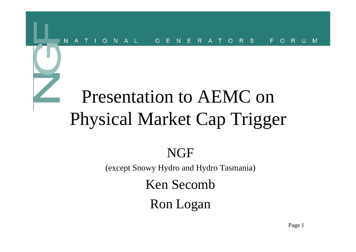#### $R$  $\mathbf{s}$  $N$  $A \perp$ G  $\mathsf{R}$  $F$  $\overline{A}$ N<sub>1</sub> F F  $\overline{A}$  $\Omega$  $\Omega$ R.  $M$ N  $\mathbf{H}$  $\Omega$

### Presentation to AEMC on Physical Market Cap Trigger

#### **NGF**

(except Snowy Hydro and Hydro Tasmania)

Ken Secomb

Ron Logan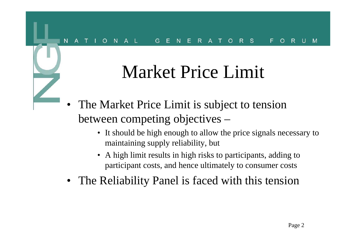### Market Price Limit

- • The Market Price Limit is subject to tension between competing objectives –
	- It should be high enough to allow the price signals necessary to maintaining supply reliability, but
	- A high limit results in high risks to participants, adding to participant costs, and hence ultimately to consumer costs
- $\bullet$ The Reliability Panel is faced with this tension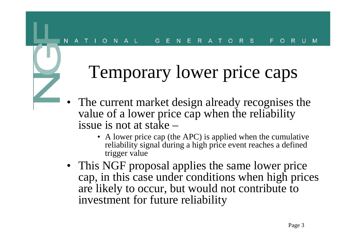#### $A \perp$  $E$  R  $R$  S F.  $N$ G  $\Omega$  $\Omega$

#### Temporary lower price caps

- • The current market design already recognises the value of a lower price cap when the reliability issue is not at stake –
	- A lower price cap (the APC) is applied when the cumulative reliability signal during a high price event reaches a defined trigger value
- This NGF proposal applies the same lower price cap, in this case under conditions when high prices are likely to occur, but would not contribute to investment for future reliability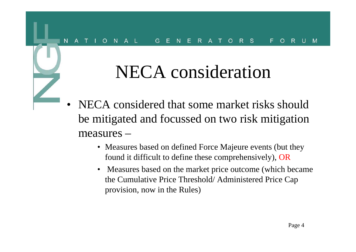### NECA consideration

- • NECA considered that some market risks should be mitigated and focussed on two risk mitigation measures –
	- Measures based on defined Force Majeure events (but they found it difficult to define these comprehensively), OR
	- Measures based on the market price outcome (which became the Cumulative Price Threshold/ Administered Price Cap provision, now in the Rules)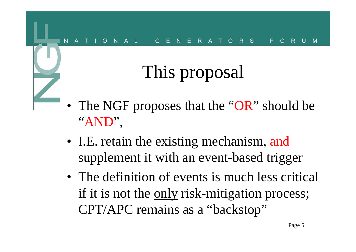#### $\mathbf{s}$

# This proposal

- The NGF proposes that the "OR" should be "AND",
- I.E. retain the existing mechanism, and supplement it with an event-based trigger
- The definition of events is much less critical if it is not the <u>only</u> risk-mitigation process; CPT/APC remains as a "backstop"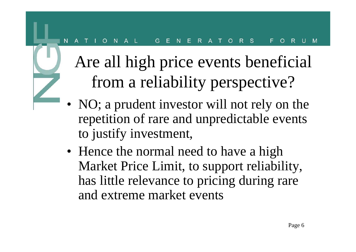#### S.  $A \perp$ F.  $R$  $R$ N<sub>1</sub> G  $\Omega$  $\Omega$

Are all high price events beneficial from a reliability perspective?

- NO; a prudent investor will not rely on the repetition of rare and unpredictable events to justify investment,
- Hence the normal need to have a high Market Price Limit, to support reliability, has little relevance to pricing during rare and extreme market events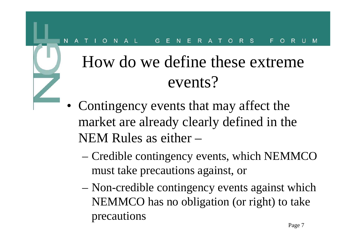#### $R$  $R S$  $\overline{A}$ F. N<sub>1</sub> G  $\Omega$  $\Omega$

#### How do we define these extreme events?

- Contingency events that may affect the market are already clearly defined in the NEM Rules as either –
	- – Credible contingency events, which NEMMCO must take precautions against, or
	- Non-credible contingency events against which NEMMCO has no obligation (or right) to take precautions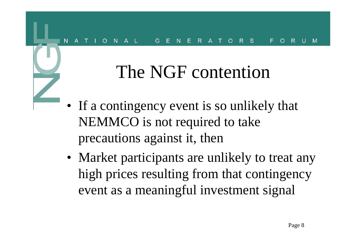### The NGF contention

- If a contingency event is so unlikely that NEMMCO is not required to take precautions against it, then
- Market participants are unlikely to treat any high prices resulting from that contingency event as a meaningful investment signal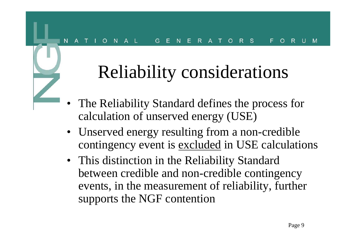# Reliability considerations

- • The Reliability Standard defines the process for calculation of unserved energy (USE)
- Unserved energy resulting from a non-credible contingency event is excluded in USE calculations
- This distinction in the Reliability Standard between credible and non-credible contingency events, in the measurement of reliability, further supports the NGF contention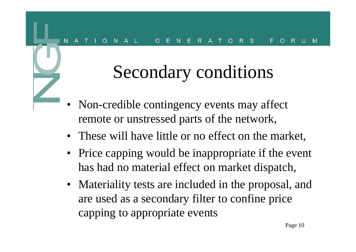### Secondary conditions

- • Non-credible contingency events may affect remote or unstressed parts of the network,
- These will have little or no effect on the market,
- Price capping would be inappropriate if the event has had no material effect on market dispatch,
- Materiality tests are included in the proposal, and are used as a secondary filter to confine price capping to appropriate events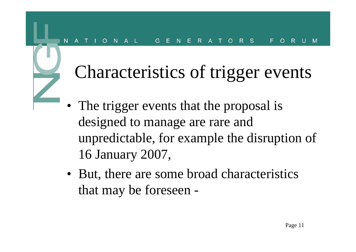#### $S$  $R$  $\Omega$ G

### Characteristics of trigger events

- The trigger events that the proposal is designed to manage are rare and unpredictable, for example the disruption of 16 January 2007,
- But, there are some broad characteristics that may be foreseen -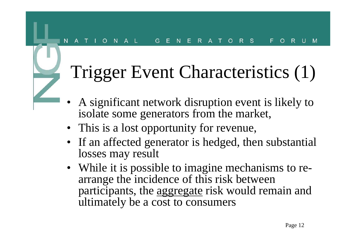#### $E$  R  $R S$  $A \perp$  $\circ$  $N$ G  $\Omega$

### Trigger Event Characteristics (1)

- • A significant network disruption event is likely to isolate some generators from the market,
- This is a lost opportunity for revenue,
- If an affected generator is hedged, then substantial losses may result
- While it is possible to imagine mechanisms to rearrange the incidence of this risk between participants, the aggregate risk would remain and ultimately be a cost to consumers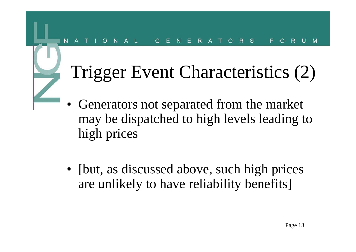#### S.  $\mathsf{R}$ N G  $\Omega$

### Trigger Event Characteristics (2)

- • Generators not separated from the market may be dispatched to high levels leading to high prices
- [but, as discussed above, such high prices] are unlikely to have reliability benefits]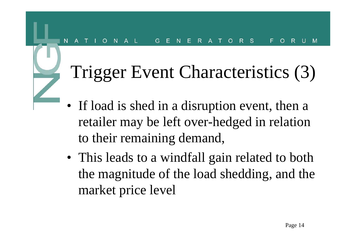#### <sub>S</sub>  $\Omega$

### Trigger Event Characteristics (3)

- If load is shed in a disruption event, then a retailer may be left over-hedged in relation to their remaining demand,
- This leads to a windfall gain related to both the magnitude of the load shedding, and the market price level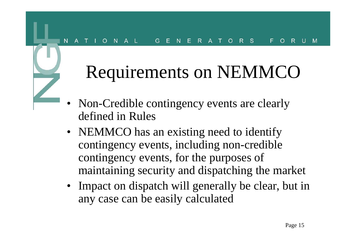#### $E$  R  $R$  S  $N$  $A \perp$ G  $\circ$ F.  $\Omega$ R.

### Requirements on NEMMCO

- • Non-Credible contingency events are clearly defined in Rules
- NEMMCO has an existing need to identify contingency events, including non-credible contingency events, for the purposes of maintaining security and dispatching the market
- Impact on dispatch will generally be clear, but in any case can be easily calculated